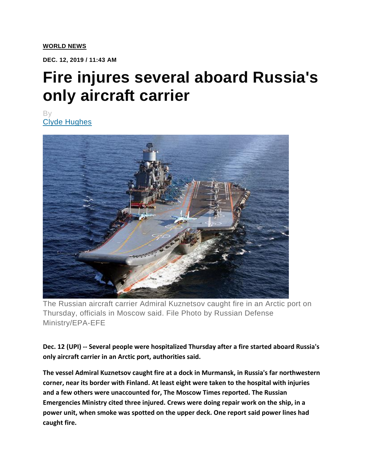**DEC. 12, 2019 / 11:43 AM**

## **Fire injures several aboard Russia's only aircraft carrier**

By [Clyde Hughes](https://www.upi.com/author/Clyde-Hughes/)



The Russian aircraft carrier Admiral Kuznetsov caught fire in an Arctic port on Thursday, officials in Moscow said. File Photo by Russian Defense Ministry/EPA-EFE

**Dec. 12 (UPI) -- Several people were hospitalized Thursday after a fire started aboard Russia's only aircraft carrier in an Arctic port, authorities said.**

**The vessel Admiral Kuznetsov caught fire at a dock in Murmansk, in Russia's far northwestern corner, near its border with Finland. At least eight were taken to the hospital with injuries and a few others were unaccounted for, The Moscow Times reported. The Russian Emergencies Ministry cited three injured. Crews were doing repair work on the ship, in a power unit, when smoke was spotted on the upper deck. One report said power lines had caught fire.**